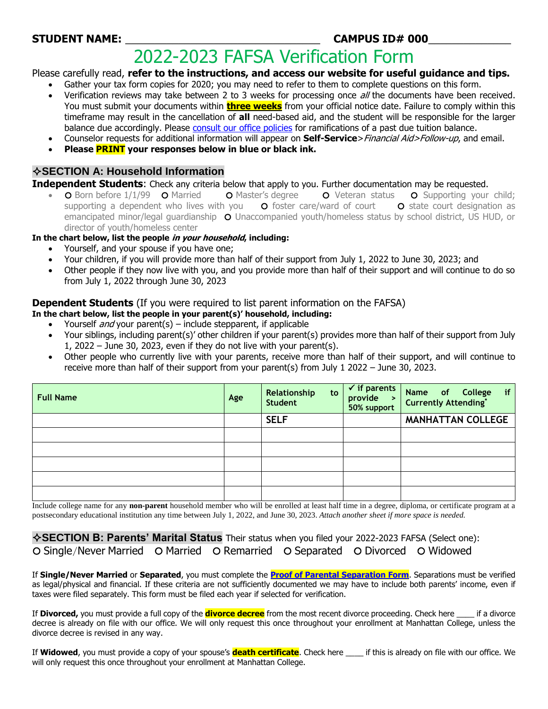# **STUDENT NAME:** \_\_\_\_\_\_\_\_\_\_\_\_\_\_\_\_\_\_\_\_\_\_\_\_\_\_\_\_\_\_\_\_\_ **CAMPUS ID# 000**\_\_\_\_\_\_\_\_\_\_\_\_\_\_

# 2022-2023 FAFSA Verification Form

Please carefully read, **refer to the instructions, and access our website for useful guidance and tips.** 

- Gather your tax form copies for 2020; you may need to refer to them to complete questions on this form.
- Verification reviews may take between 2 to 3 weeks for processing once all the documents have been received. You must submit your documents within **three weeks** from your official notice date. Failure to comply within this timeframe may result in the cancellation of **all** need-based aid, and the student will be responsible for the larger balance due accordingly. Please [consult our office policies](https://manhattan.edu/student_life/student-financial-services/bursars-office/payment-penalties) for ramifications of a past due tuition balance.
- Counselor requests for additional information will appear on **Self-Service**>Financial Aid>Follow-up, and email.
- **Please PRINT your responses below in blue or black ink.**

### **SECTION A: Household Information**

**Independent Students**: Check any criteria below that apply to you. Further documentation may be requested.

O Born before 1/1/99 O Married O Master's degree O Veteran status O Supporting your child; supporting a dependent who lives with you  $\bullet$  foster care/ward of court  $\bullet$  state court designation as emancipated minor/legal quardianship O Unaccompanied youth/homeless status by school district, US HUD, or director of youth/homeless center

**In the chart below, list the people in your household, including:**

- Yourself, and your spouse if you have one;
- Your children, if you will provide more than half of their support from July 1, 2022 to June 30, 2023; and
- Other people if they now live with you, and you provide more than half of their support and will continue to do so from July 1, 2022 through June 30, 2023

### **Dependent Students** (If you were required to list parent information on the FAFSA)

**In the chart below, list the people in your parent(s)' household, including:**

- Yourself *and* your parent(s) include stepparent, if applicable
- Your siblings, including parent(s)' other children if your parent(s) provides more than half of their support from July 1, 2022 – June 30, 2023, even if they do not live with your parent(s).
- Other people who currently live with your parents, receive more than half of their support, and will continue to receive more than half of their support from your parent(s) from July 1 2022 – June 30, 2023.

| <b>Full Name</b> | Age | Relationship<br>to<br><b>Student</b> | $\checkmark$ if parents<br>provide<br>$\rightarrow$<br>50% support | Name of College<br>Currently Attending*<br>if |
|------------------|-----|--------------------------------------|--------------------------------------------------------------------|-----------------------------------------------|
|                  |     | <b>SELF</b>                          |                                                                    | <b>MANHATTAN COLLEGE</b>                      |
|                  |     |                                      |                                                                    |                                               |
|                  |     |                                      |                                                                    |                                               |
|                  |     |                                      |                                                                    |                                               |
|                  |     |                                      |                                                                    |                                               |
|                  |     |                                      |                                                                    |                                               |

Include college name for any **non-parent** household member who will be enrolled at least half time in a degree, diploma, or certificate program at a postsecondary educational institution any time between July 1, 2022, and June 30, 2023. *Attach another sheet if more space is needed.*

**SECTION B: Parents' Marital Status** Their status when you filed your 2022-2023 FAFSA (Select one): O Single/Never Married O Married O Remarried O Separated O Divorced O Widowed

If **Single/Never Married** or **Separated**, you must complete the **[Proof of Parental Separation Form](https://manhattan.edu/sites/default/files/parentalseparationform1314.pdf)**. Separations must be verified as legal/physical and financial. If these criteria are not sufficiently documented we may have to include both parents' income, even if taxes were filed separately. This form must be filed each year if selected for verification.

If **Divorced,** you must provide a full copy of the **divorce decree** from the most recent divorce proceeding. Check here \_\_\_\_ if a divorce decree is already on file with our office. We will only request this once throughout your enrollment at Manhattan College, unless the divorce decree is revised in any way.

If **Widowed**, you must provide a copy of your spouse's **death certificate**. Check here \_\_\_\_ if this is already on file with our office. We will only request this once throughout your enrollment at Manhattan College.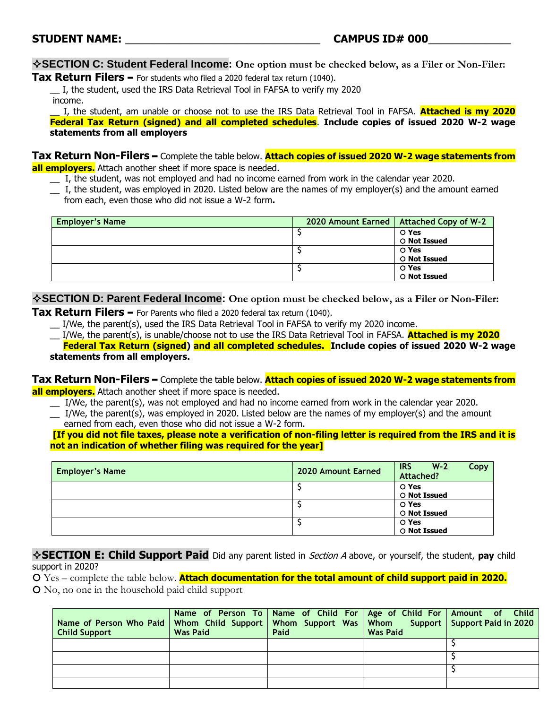**SECTION C: Student Federal Income: One option must be checked below, as a Filer or Non-Filer:**

**Tax Return Filers** – For students who filed a 2020 federal tax return (1040).

\_\_ I, the student, used the IRS Data Retrieval Tool in FAFSA to verify my 2020 income.

\_\_ I, the student, am unable or choose not to use the IRS Data Retrieval Tool in FAFSA. **Attached is my 2020 Federal Tax Return (signed) and all completed schedules**. **Include copies of issued 2020 W-2 wage statements from all employers**

**Tax Return Non-Filers** – Complete the table below. **Attach copies of issued 2020 W-2 wage statements from all employers.** Attach another sheet if more space is needed.

- \_\_ I, the student, was not employed and had no income earned from work in the calendar year 2020.
- \_\_ I, the student, was employed in 2020. Listed below are the names of my employer(s) and the amount earned from each, even those who did not issue a W-2 form**.**

| <b>Employer's Name</b> | 2020 Amount Earned   Attached Copy of W-2 |
|------------------------|-------------------------------------------|
|                        | O Yes                                     |
|                        | O Not Issued                              |
|                        | O Yes                                     |
|                        | O Not Issued                              |
|                        | O Yes                                     |
|                        | <b>O</b> Not Issued                       |

**SECTION D: Parent Federal Income: One option must be checked below, as a Filer or Non-Filer:**

**Tax Return Filers** – For Parents who filed a 2020 federal tax return (1040).

\_\_ I/We, the parent(s), used the IRS Data Retrieval Tool in FAFSA to verify my 2020 income.

\_\_ I/We, the parent(s), is unable/choose not to use the IRS Data Retrieval Tool in FAFSA. **Attached is my 2020 Federal Tax Return (signed) and all completed schedules. Include copies of issued 2020 W-2 wage statements from all employers.**

**Tax Return Non-Filers** – Complete the table below. **Attach copies of issued 2020 W-2 wage statements from all employers.** Attach another sheet if more space is needed.

- \_\_ I/We, the parent(s), was not employed and had no income earned from work in the calendar year 2020.
- \_\_ I/We, the parent(s), was employed in 2020. Listed below are the names of my employer(s) and the amount earned from each, even those who did not issue a W-2 form.

**[If you did not file taxes, please note a verification of non-filing letter is required from the IRS and it is not an indication of whether filing was required for the year]**

| <b>Employer's Name</b> | 2020 Amount Earned | <b>IRS</b><br>$W-2$<br>Attached? | Copy |
|------------------------|--------------------|----------------------------------|------|
|                        |                    | O Yes<br>O Not Issued            |      |
|                        |                    | O Yes<br>O Not Issued            |      |
|                        |                    | O Yes<br><b>O</b> Not Issued     |      |

**SECTION E: Child Support Paid** Did any parent listed in Section A above, or yourself, the student, **pay** child support in 2020?

 Yes – complete the table below. **Attach documentation for the total amount of child support paid in 2020.** No, no one in the household paid child support

| Name of Person Who Paid   Whom Child Support   Whom Support Was   Whom Support   Support Paid in 2020<br><b>Child Support</b> | Name of Person To   Name of Child For   Age of Child For   Amount of Child  <br><b>Was Paid</b> | Paid | <b>Was Paid</b> |  |
|-------------------------------------------------------------------------------------------------------------------------------|-------------------------------------------------------------------------------------------------|------|-----------------|--|
|                                                                                                                               |                                                                                                 |      |                 |  |
|                                                                                                                               |                                                                                                 |      |                 |  |
|                                                                                                                               |                                                                                                 |      |                 |  |
|                                                                                                                               |                                                                                                 |      |                 |  |